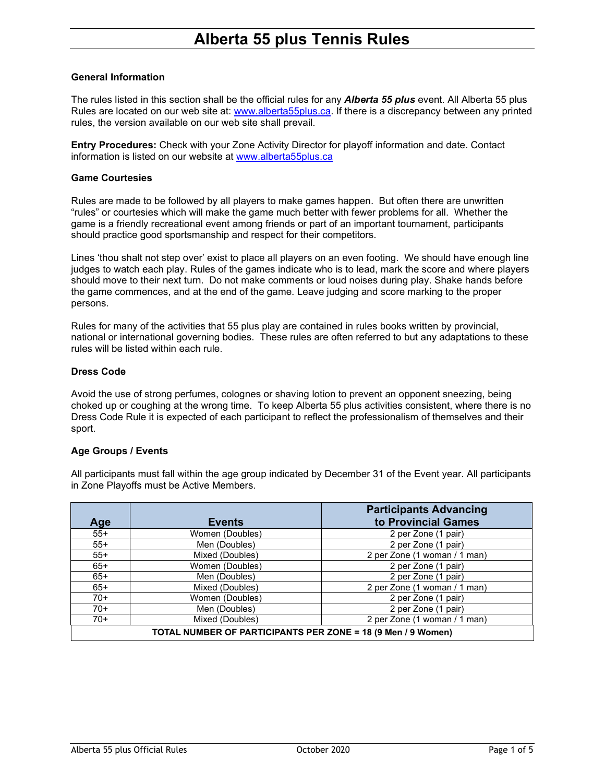## **General Information**

The rules listed in this section shall be the official rules for any *Alberta 55 plus* event. All Alberta 55 plus Rules are located on our web site at: [www.alberta55plus.ca.](http://www.alberta55plus.ca/) If there is a discrepancy between any printed rules, the version available on our web site shall prevail.

**Entry Procedures:** Check with your Zone Activity Director for playoff information and date. Contact information is listed on our website at [www.alberta55plus.ca](http://www.alberta55plus.ca/)

### **Game Courtesies**

Rules are made to be followed by all players to make games happen. But often there are unwritten "rules" or courtesies which will make the game much better with fewer problems for all. Whether the game is a friendly recreational event among friends or part of an important tournament, participants should practice good sportsmanship and respect for their competitors.

Lines 'thou shalt not step over' exist to place all players on an even footing. We should have enough line judges to watch each play. Rules of the games indicate who is to lead, mark the score and where players should move to their next turn. Do not make comments or loud noises during play. Shake hands before the game commences, and at the end of the game. Leave judging and score marking to the proper persons.

Rules for many of the activities that 55 plus play are contained in rules books written by provincial, national or international governing bodies. These rules are often referred to but any adaptations to these rules will be listed within each rule.

## **Dress Code**

Avoid the use of strong perfumes, colognes or shaving lotion to prevent an opponent sneezing, being choked up or coughing at the wrong time. To keep Alberta 55 plus activities consistent, where there is no Dress Code Rule it is expected of each participant to reflect the professionalism of themselves and their sport.

### **Age Groups / Events**

All participants must fall within the age group indicated by December 31 of the Event year. All participants in Zone Playoffs must be Active Members.

|                                                              |                 | <b>Participants Advancing</b> |
|--------------------------------------------------------------|-----------------|-------------------------------|
| Age                                                          | <b>Events</b>   | to Provincial Games           |
| $55+$                                                        | Women (Doubles) | 2 per Zone (1 pair)           |
| $55+$                                                        | Men (Doubles)   | 2 per Zone (1 pair)           |
| $55+$                                                        | Mixed (Doubles) | 2 per Zone (1 woman / 1 man)  |
| $65+$                                                        | Women (Doubles) | 2 per Zone (1 pair)           |
| $65+$                                                        | Men (Doubles)   | 2 per Zone (1 pair)           |
| $65+$                                                        | Mixed (Doubles) | 2 per Zone (1 woman / 1 man)  |
| $70+$                                                        | Women (Doubles) | 2 per Zone (1 pair)           |
| $70+$                                                        | Men (Doubles)   | 2 per Zone (1 pair)           |
| $70+$                                                        | Mixed (Doubles) | 2 per Zone (1 woman / 1 man)  |
| TOTAL NUMBER OF PARTICIPANTS PER ZONE = 18 (9 Men / 9 Women) |                 |                               |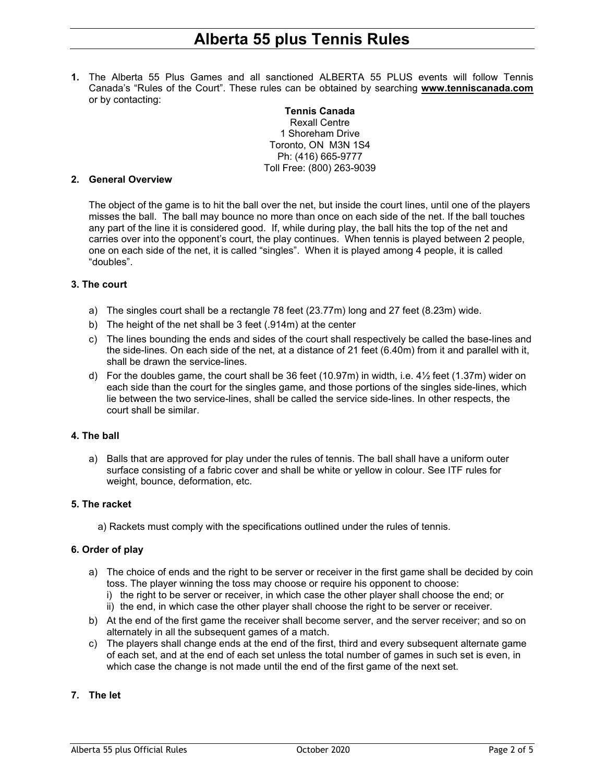**1.** The Alberta 55 Plus Games and all sanctioned ALBERTA 55 PLUS events will follow Tennis Canada's "Rules of the Court". These rules can be obtained by searching **[www.tenniscanada.com](http://www.tenniscanada.com/)** or by contacting:

**Tennis Canada** Rexall Centre 1 Shoreham Drive Toronto, ON M3N 1S4 Ph: (416) 665-9777 Toll Free: (800) 263-9039

#### **2. General Overview**

The object of the game is to hit the ball over the net, but inside the court lines, until one of the players misses the ball. The ball may bounce no more than once on each side of the net. If the ball touches any part of the line it is considered good. If, while during play, the ball hits the top of the net and carries over into the opponent's court, the play continues. When tennis is played between 2 people, one on each side of the net, it is called "singles". When it is played among 4 people, it is called "doubles".

### **3. The court**

- a) The singles court shall be a rectangle 78 feet (23.77m) long and 27 feet (8.23m) wide.
- b) The height of the net shall be 3 feet (.914m) at the center
- c) The lines bounding the ends and sides of the court shall respectively be called the base-lines and the side-lines. On each side of the net, at a distance of 21 feet (6.40m) from it and parallel with it, shall be drawn the service-lines.
- d) For the doubles game, the court shall be 36 feet (10.97m) in width, i.e. 4½ feet (1.37m) wider on each side than the court for the singles game, and those portions of the singles side-lines, which lie between the two service-lines, shall be called the service side-lines. In other respects, the court shall be similar.

### **4. The ball**

a) Balls that are approved for play under the rules of tennis. The ball shall have a uniform outer surface consisting of a fabric cover and shall be white or yellow in colour. See ITF rules for weight, bounce, deformation, etc.

### **5. The racket**

a) Rackets must comply with the specifications outlined under the rules of tennis.

### **6. Order of play**

- a) The choice of ends and the right to be server or receiver in the first game shall be decided by coin toss. The player winning the toss may choose or require his opponent to choose:
	- i) the right to be server or receiver, in which case the other player shall choose the end; or
	- ii) the end, in which case the other player shall choose the right to be server or receiver.
- b) At the end of the first game the receiver shall become server, and the server receiver; and so on alternately in all the subsequent games of a match.
- c) The players shall change ends at the end of the first, third and every subsequent alternate game of each set, and at the end of each set unless the total number of games in such set is even, in which case the change is not made until the end of the first game of the next set.

### **7. The let**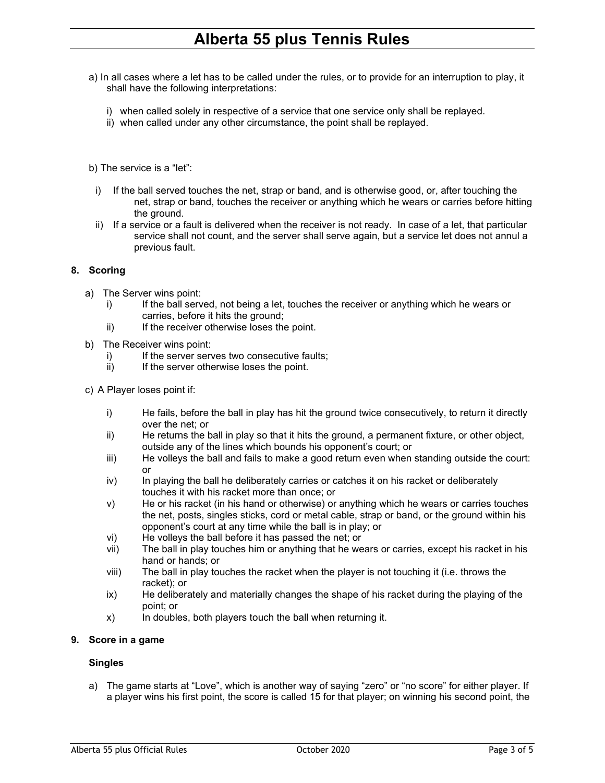- a) In all cases where a let has to be called under the rules, or to provide for an interruption to play, it shall have the following interpretations:
	- i) when called solely in respective of a service that one service only shall be replayed.
	- ii) when called under any other circumstance, the point shall be replayed.

b) The service is a "let":

- i) If the ball served touches the net, strap or band, and is otherwise good, or, after touching the net, strap or band, touches the receiver or anything which he wears or carries before hitting the ground.
- ii) If a service or a fault is delivered when the receiver is not ready. In case of a let, that particular service shall not count, and the server shall serve again, but a service let does not annul a previous fault.

## **8. Scoring**

- a) The Server wins point:
	- i) If the ball served, not being a let, touches the receiver or anything which he wears or carries, before it hits the ground;
	- ii) If the receiver otherwise loses the point.
- b) The Receiver wins point:
	- i) If the server serves two consecutive faults;
	- ii) If the server otherwise loses the point.
- c) A Player loses point if:
	- i) He fails, before the ball in play has hit the ground twice consecutively, to return it directly over the net; or
	- ii) He returns the ball in play so that it hits the ground, a permanent fixture, or other object, outside any of the lines which bounds his opponent's court; or
	- iii) He volleys the ball and fails to make a good return even when standing outside the court: or
	- iv) In playing the ball he deliberately carries or catches it on his racket or deliberately touches it with his racket more than once; or
	- v) He or his racket (in his hand or otherwise) or anything which he wears or carries touches the net, posts, singles sticks, cord or metal cable, strap or band, or the ground within his opponent's court at any time while the ball is in play; or
	- vi) He volleys the ball before it has passed the net; or<br>vii) The ball in play touches him or anything that he we
	- The ball in play touches him or anything that he wears or carries, except his racket in his hand or hands; or
	- viii) The ball in play touches the racket when the player is not touching it (i.e. throws the racket); or
	- ix) He deliberately and materially changes the shape of his racket during the playing of the point; or
	- x) In doubles, both players touch the ball when returning it.

### **9. Score in a game**

### **Singles**

a) The game starts at "Love", which is another way of saying "zero" or "no score" for either player. If a player wins his first point, the score is called 15 for that player; on winning his second point, the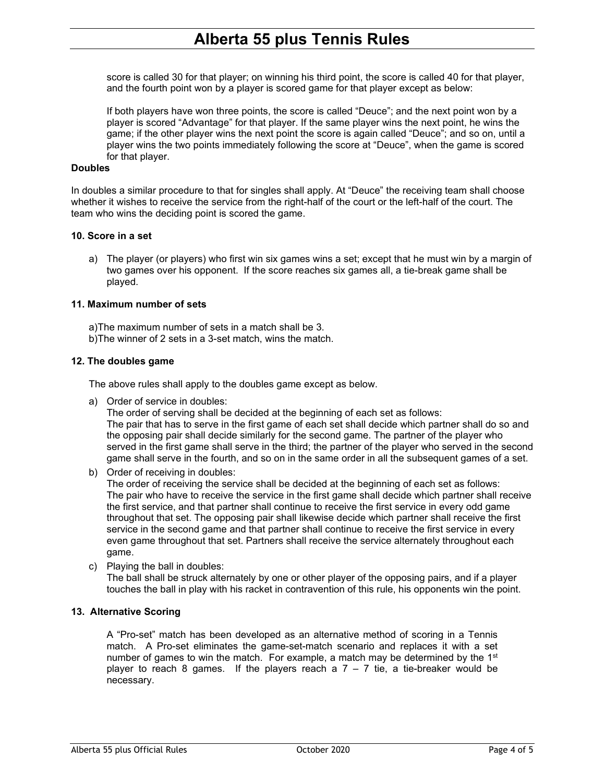score is called 30 for that player; on winning his third point, the score is called 40 for that player, and the fourth point won by a player is scored game for that player except as below:

If both players have won three points, the score is called "Deuce"; and the next point won by a player is scored "Advantage" for that player. If the same player wins the next point, he wins the game; if the other player wins the next point the score is again called "Deuce"; and so on, until a player wins the two points immediately following the score at "Deuce", when the game is scored for that player.

## **Doubles**

In doubles a similar procedure to that for singles shall apply. At "Deuce" the receiving team shall choose whether it wishes to receive the service from the right-half of the court or the left-half of the court. The team who wins the deciding point is scored the game.

## **10. Score in a set**

a) The player (or players) who first win six games wins a set; except that he must win by a margin of two games over his opponent. If the score reaches six games all, a tie-break game shall be played.

## **11. Maximum number of sets**

a)The maximum number of sets in a match shall be 3.

b)The winner of 2 sets in a 3-set match, wins the match.

## **12. The doubles game**

The above rules shall apply to the doubles game except as below.

a) Order of service in doubles:

The order of serving shall be decided at the beginning of each set as follows: The pair that has to serve in the first game of each set shall decide which partner shall do so and the opposing pair shall decide similarly for the second game. The partner of the player who served in the first game shall serve in the third; the partner of the player who served in the second game shall serve in the fourth, and so on in the same order in all the subsequent games of a set.

b) Order of receiving in doubles:

The order of receiving the service shall be decided at the beginning of each set as follows: The pair who have to receive the service in the first game shall decide which partner shall receive the first service, and that partner shall continue to receive the first service in every odd game throughout that set. The opposing pair shall likewise decide which partner shall receive the first service in the second game and that partner shall continue to receive the first service in every even game throughout that set. Partners shall receive the service alternately throughout each game.

c) Playing the ball in doubles:

The ball shall be struck alternately by one or other player of the opposing pairs, and if a player touches the ball in play with his racket in contravention of this rule, his opponents win the point.

## **13. Alternative Scoring**

A "Pro-set" match has been developed as an alternative method of scoring in a Tennis match. A Pro-set eliminates the game-set-match scenario and replaces it with a set number of games to win the match. For example, a match may be determined by the  $1<sup>st</sup>$ player to reach 8 games. If the players reach a  $7 - 7$  tie, a tie-breaker would be necessary.